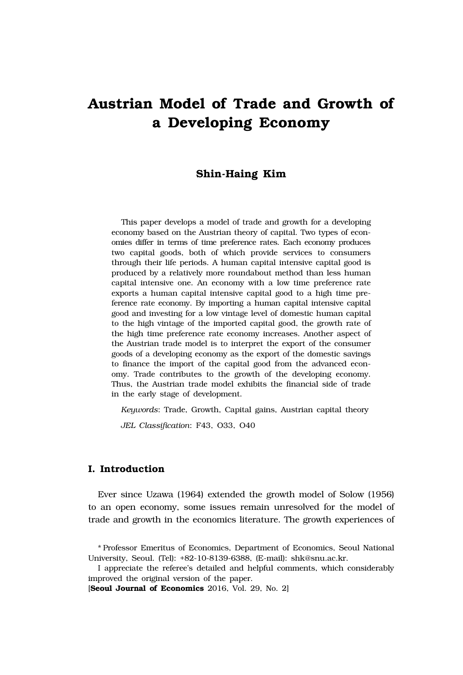# **Austrian Model of Trade and Growth of a Developing Economy**

## **Shin-Haing Kim**

This paper develops a model of trade and growth for a developing economy based on the Austrian theory of capital. Two types of economies differ in terms of time preference rates. Each economy produces two capital goods, both of which provide services to consumers through their life periods. A human capital intensive capital good is produced by a relatively more roundabout method than less human capital intensive one. An economy with a low time preference rate exports a human capital intensive capital good to a high time preference rate economy. By importing a human capital intensive capital good and investing for a low vintage level of domestic human capital to the high vintage of the imported capital good, the growth rate of the high time preference rate economy increases. Another aspect of the Austrian trade model is to interpret the export of the consumer goods of a developing economy as the export of the domestic savings to finance the import of the capital good from the advanced economy. Trade contributes to the growth of the developing economy. Thus, the Austrian trade model exhibits the financial side of trade in the early stage of development.

*Keywords*: Trade, Growth, Capital gains, Austrian capital theory *JEL Classification*: F43, O33, O40

## **I. Introduction**

Ever since Uzawa (1964) extended the growth model of Solow (1956) to an open economy, some issues remain unresolved for the model of trade and growth in the economics literature. The growth experiences of

[**Seoul Journal of Economics** 2016, Vol. 29, No. 2]

<sup>\*</sup> Professor Emeritus of Economics, Department of Economics, Seoul National University, Seoul. (Tel): +82-10-8139-6388, (E-mail): shk@snu.ac.kr.

I appreciate the referee's detailed and helpful comments, which considerably improved the original version of the paper.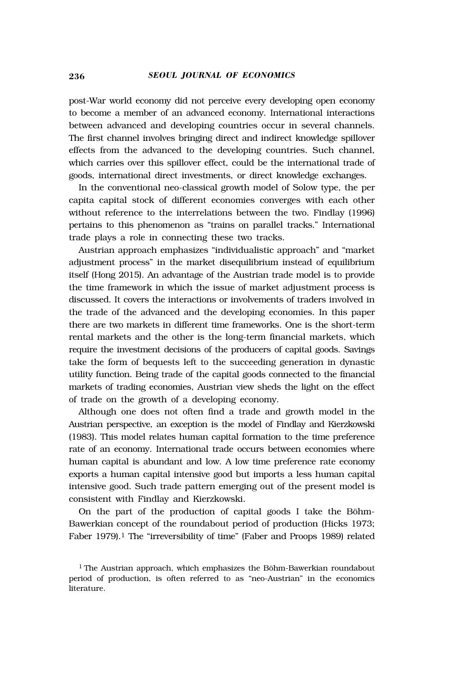post-War world economy did not perceive every developing open economy to become a member of an advanced economy. International interactions between advanced and developing countries occur in several channels. The first channel involves bringing direct and indirect knowledge spillover effects from the advanced to the developing countries. Such channel, which carries over this spillover effect, could be the international trade of goods, international direct investments, or direct knowledge exchanges.

In the conventional neo-classical growth model of Solow type, the per capita capital stock of different economies converges with each other without reference to the interrelations between the two. Findlay (1996) pertains to this phenomenon as "trains on parallel tracks." International trade plays a role in connecting these two tracks.

Austrian approach emphasizes "individualistic approach" and "market adjustment process" in the market disequilibrium instead of equilibrium itself (Hong 2015). An advantage of the Austrian trade model is to provide the time framework in which the issue of market adjustment process is discussed. It covers the interactions or involvements of traders involved in the trade of the advanced and the developing economies. In this paper there are two markets in different time frameworks. One is the short-term rental markets and the other is the long-term financial markets, which require the investment decisions of the producers of capital goods. Savings take the form of bequests left to the succeeding generation in dynastic utility function. Being trade of the capital goods connected to the financial markets of trading economies, Austrian view sheds the light on the effect of trade on the growth of a developing economy.

Although one does not often find a trade and growth model in the Austrian perspective, an exception is the model of Findlay and Kierzkowski (1983). This model relates human capital formation to the time preference rate of an economy. International trade occurs between economies where human capital is abundant and low. A low time preference rate economy exports a human capital intensive good but imports a less human capital intensive good. Such trade pattern emerging out of the present model is consistent with Findlay and Kierzkowski.

On the part of the production of capital goods I take the Böhm-Bawerkian concept of the roundabout period of production (Hicks 1973; Faber 1979).<sup>1</sup> The "irreversibility of time" (Faber and Proops 1989) related

 $1$  The Austrian approach, which emphasizes the Böhm-Bawerkian roundabout period of production, is often referred to as "neo-Austrian" in the economics literature.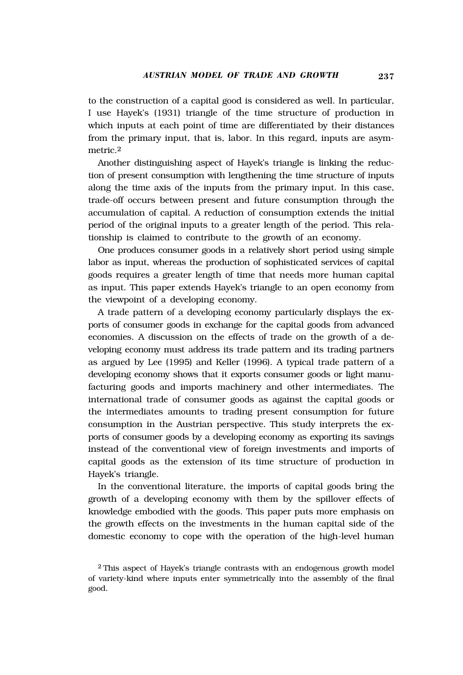to the construction of a capital good is considered as well. In particular, I use Hayek's (1931) triangle of the time structure of production in which inputs at each point of time are differentiated by their distances from the primary input, that is, labor. In this regard, inputs are asymmetric<sub>2</sub>

Another distinguishing aspect of Hayek's triangle is linking the reduction of present consumption with lengthening the time structure of inputs along the time axis of the inputs from the primary input. In this case, trade-off occurs between present and future consumption through the accumulation of capital. A reduction of consumption extends the initial period of the original inputs to a greater length of the period. This relationship is claimed to contribute to the growth of an economy.

One produces consumer goods in a relatively short period using simple labor as input, whereas the production of sophisticated services of capital goods requires a greater length of time that needs more human capital as input. This paper extends Hayek's triangle to an open economy from the viewpoint of a developing economy.

A trade pattern of a developing economy particularly displays the exports of consumer goods in exchange for the capital goods from advanced economies. A discussion on the effects of trade on the growth of a developing economy must address its trade pattern and its trading partners as argued by Lee (1995) and Keller (1996). A typical trade pattern of a developing economy shows that it exports consumer goods or light manufacturing goods and imports machinery and other intermediates. The international trade of consumer goods as against the capital goods or the intermediates amounts to trading present consumption for future consumption in the Austrian perspective. This study interprets the exports of consumer goods by a developing economy as exporting its savings instead of the conventional view of foreign investments and imports of capital goods as the extension of its time structure of production in Hayek's triangle.

In the conventional literature, the imports of capital goods bring the growth of a developing economy with them by the spillover effects of knowledge embodied with the goods. This paper puts more emphasis on the growth effects on the investments in the human capital side of the domestic economy to cope with the operation of the high-level human

 $2$  This aspect of Hayek's triangle contrasts with an endogenous growth model of variety-kind where inputs enter symmetrically into the assembly of the final good.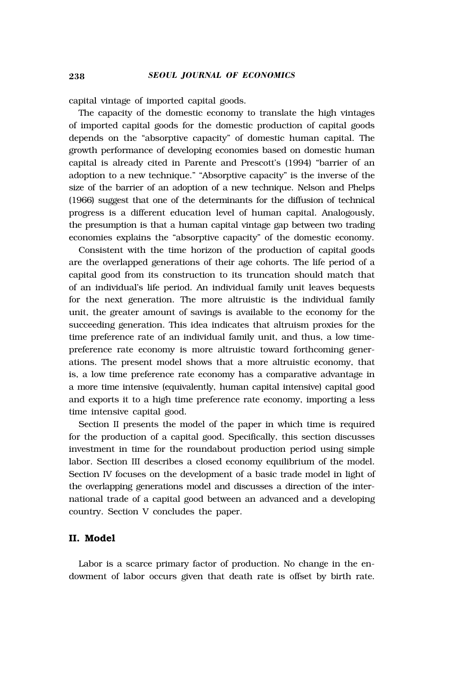capital vintage of imported capital goods.

The capacity of the domestic economy to translate the high vintages of imported capital goods for the domestic production of capital goods depends on the "absorptive capacity" of domestic human capital. The growth performance of developing economies based on domestic human capital is already cited in Parente and Prescott's (1994) "barrier of an adoption to a new technique." "Absorptive capacity" is the inverse of the size of the barrier of an adoption of a new technique. Nelson and Phelps (1966) suggest that one of the determinants for the diffusion of technical progress is a different education level of human capital. Analogously, the presumption is that a human capital vintage gap between two trading economies explains the "absorptive capacity" of the domestic economy.

Consistent with the time horizon of the production of capital goods are the overlapped generations of their age cohorts. The life period of a capital good from its construction to its truncation should match that of an individual's life period. An individual family unit leaves bequests for the next generation. The more altruistic is the individual family unit, the greater amount of savings is available to the economy for the succeeding generation. This idea indicates that altruism proxies for the time preference rate of an individual family unit, and thus, a low timepreference rate economy is more altruistic toward forthcoming generations. The present model shows that a more altruistic economy, that is, a low time preference rate economy has a comparative advantage in a more time intensive (equivalently, human capital intensive) capital good and exports it to a high time preference rate economy, importing a less time intensive capital good.

Section II presents the model of the paper in which time is required for the production of a capital good. Specifically, this section discusses investment in time for the roundabout production period using simple labor. Section III describes a closed economy equilibrium of the model. Section IV focuses on the development of a basic trade model in light of the overlapping generations model and discusses a direction of the international trade of a capital good between an advanced and a developing country. Section V concludes the paper.

### **II. Model**

Labor is a scarce primary factor of production. No change in the endowment of labor occurs given that death rate is offset by birth rate.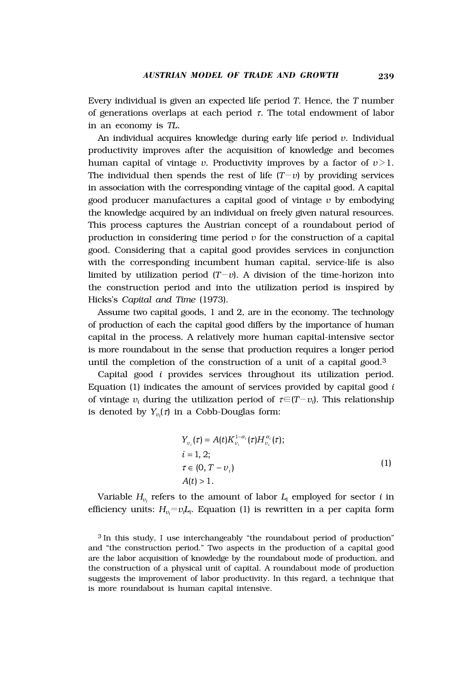Every individual is given an expected life period *T*. Hence, the *T* number of generations overlaps at each period  $\tau$ . The total endowment of labor in an economy is *TL*.

An individual acquires knowledge during early life period *v*. Individual productivity improves after the acquisition of knowledge and becomes human capital of vintage *v*. Productivity improves by a factor of  $v > 1$ . The individual then spends the rest of life  $(T-v)$  by providing services in association with the corresponding vintage of the capital good. A capital good producer manufactures a capital good of vintage *v* by embodying the knowledge acquired by an individual on freely given natural resources. This process captures the Austrian concept of a roundabout period of production in considering time period  $\nu$  for the construction of a capital good. Considering that a capital good provides services in conjunction with the corresponding incumbent human capital, service-life is also limited by utilization period  $(T-v)$ . A division of the time-horizon into the construction period and into the utilization period is inspired by Hicks's *Capital and Time* (1973).

Assume two capital goods, 1 and 2, are in the economy. The technology of production of each the capital good differs by the importance of human capital in the process. A relatively more human capital-intensive sector is more roundabout in the sense that production requires a longer period until the completion of the construction of a unit of a capital good.3

Capital good *i* provides services throughout its utilization period. Equation (1) indicates the amount of services provided by capital good *i* of vintage  $v_i$  during the utilization period of  $\tau \in (T-v_i)$ . This relationship is denoted by  $Y_{v_i}(\tau)$  in a Cobb-Douglas form:

$$
Y_{\nu_i}(\tau) = A(t)K_{\nu_i}^{1-\alpha_i}(\tau)H_{\nu_i}^{\alpha_i}(\tau);
$$
  
\n $i = 1, 2;$   
\n $\tau \in (0, T - \nu_i)$   
\n $A(t) > 1.$  (1)

Variable  $H_{\nu_i}$  refers to the amount of labor  $L_i$  employed for sector *i* in efficiency units:  $H_{v_i} = v_i L_i$ . Equation (1) is rewritten in a per capita form

<sup>3</sup> In this study, I use interchangeably "the roundabout period of production" and "the construction period." Two aspects in the production of a capital good are the labor acquisition of knowledge by the roundabout mode of production, and the construction of a physical unit of capital. A roundabout mode of production suggests the improvement of labor productivity. In this regard, a technique that is more roundabout is human capital intensive.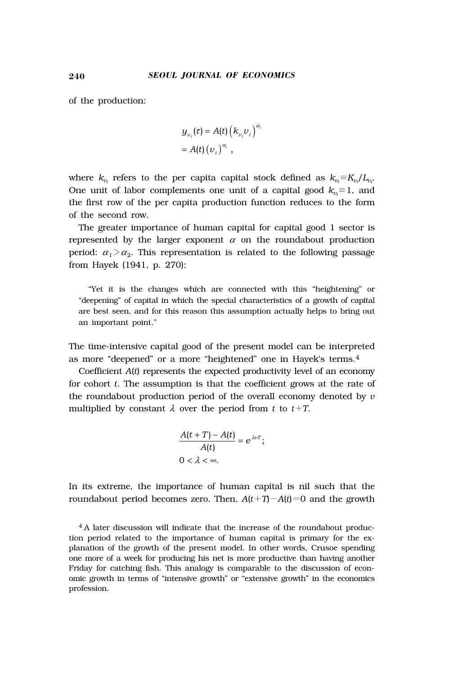of the production:

$$
y_{\nu_i}(\tau) = A(t) (k_{\nu_i} \nu_i)^{\alpha_i}
$$
  
=  $A(t) (\nu_i)^{\alpha_i}$ ,

where  $k_{v_i}$  refers to the per capita capital stock defined as  $k_{v_i} \equiv K_{v_i}/L_{v_i}$ . One unit of labor complements one unit of a capital good  $k_{v_i} \equiv 1$ , and the first row of the per capita production function reduces to the form of the second row.

The greater importance of human capital for capital good 1 sector is represented by the larger exponent  $\alpha$  on the roundabout production period:  $\alpha_1 > \alpha_2$ . This representation is related to the following passage from Hayek (1941, p. 270):

"Yet it is the changes which are connected with this "heightening" or "deepening" of capital in which the special characteristics of a growth of capital are best seen, and for this reason this assumption actually helps to bring out an important point."

The time-intensive capital good of the present model can be interpreted as more "deepened" or a more "heightened" one in Hayek's terms.4

Coefficient *A*(*t*) represents the expected productivity level of an economy for cohort *t*. The assumption is that the coefficient grows at the rate of the roundabout production period of the overall economy denoted by *v* multiplied by constant  $\lambda$  over the period from  $t$  to  $t+T$ .

$$
\frac{A(t+T)-A(t)}{A(t)}=e^{\lambda\nu T};
$$
  
0<\lambda<\infty.

In its extreme, the importance of human capital is nil such that the roundabout period becomes zero. Then,  $A(t+T)-A(t)=0$  and the growth

<sup>4</sup> A later discussion will indicate that the increase of the roundabout production period related to the importance of human capital is primary for the explanation of the growth of the present model. In other words, Crusoe spending one more of a week for producing his net is more productive than having another Friday for catching fish. This analogy is comparable to the discussion of economic growth in terms of "intensive growth" or "extensive growth" in the economics profession.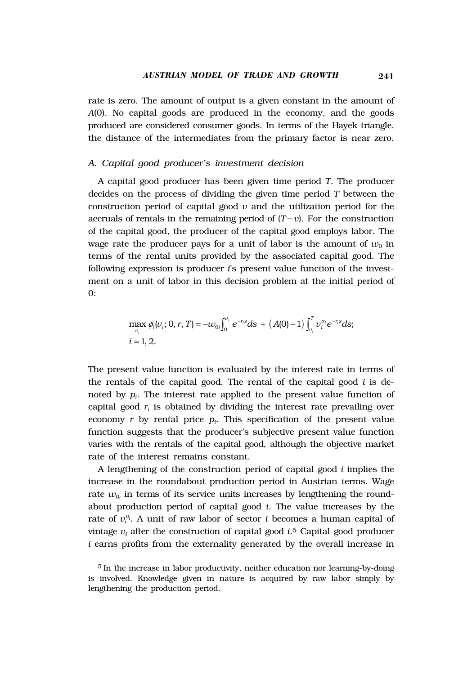rate is zero. The amount of output is a given constant in the amount of *A*(0). No capital goods are produced in the economy, and the goods produced are considered consumer goods. In terms of the Hayek triangle, the distance of the intermediates from the primary factor is near zero.

#### *A. Capital good producer's investment decision*

A capital good producer has been given time period *T*. The producer decides on the process of dividing the given time period *T* between the construction period of capital good  $v$  and the utilization period for the accruals of rentals in the remaining period of  $(T-v)$ . For the construction of the capital good, the producer of the capital good employs labor. The wage rate the producer pays for a unit of labor is the amount of  $w_0$  in terms of the rental units provided by the associated capital good. The following expression is producer *i*'s present value function of the investment on a unit of labor in this decision problem at the initial period of 0:

$$
\max_{v_i} \phi_i(v_i; 0, r, T) = -w_{0i} \int_0^{v_i} e^{-r_i s} ds + (A(0) - 1) \int_{v_i}^T v_i^{\alpha_i} e^{-r_i s} ds;
$$
  
*i* = 1, 2.

The present value function is evaluated by the interest rate in terms of the rentals of the capital good. The rental of the capital good *i* is denoted by *pi* . The interest rate applied to the present value function of capital good  $r_i$  is obtained by dividing the interest rate prevailing over economy  $r$  by rental price  $p_i$ . This specification of the present value function suggests that the producer's subjective present value function varies with the rentals of the capital good, although the objective market rate of the interest remains constant.

A lengthening of the construction period of capital good *i* implies the increase in the roundabout production period in Austrian terms. Wage rate  $w_{0_i}$  in terms of its service units increases by lengthening the roundabout production period of capital good *i*. The value increases by the rate of  $v_i^{\alpha}$ . A unit of raw labor of sector *i* becomes a human capital of vintage *vi* after the construction of capital good *i*.5 Capital good producer *i* earns profits from the externality generated by the overall increase in

 $5$  In the increase in labor productivity, neither education nor learning-by-doing is involved. Knowledge given in nature is acquired by raw labor simply by lengthening the production period.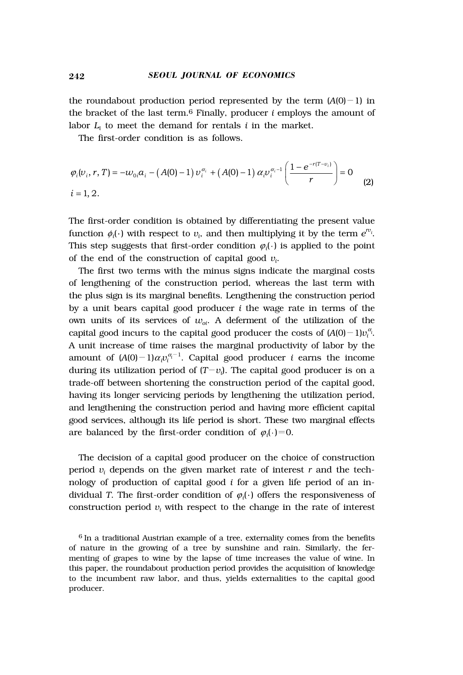the roundabout production period represented by the term  $(A(0)-1)$  in the bracket of the last term.6 Finally, producer *i* employs the amount of labor  $L_i$  to meet the demand for rentals  $i$  in the market.

The first-order condition is as follows.

$$
\varphi_i(\nu_i, r, T) = -\omega_{0i} a_i - (A(0) - 1) \nu_i^{\alpha_i} + (A(0) - 1) \alpha_i \nu_i^{\alpha_i - 1} \left( \frac{1 - e^{-r(T - \nu_i)}}{r} \right) = 0
$$
\n
$$
i = 1, 2.
$$
\n(2)

The first-order condition is obtained by differentiating the present value function  $\phi_i(\cdot)$  with respect to  $v_i$ , and then multiplying it by the term  $e^{rv_i}$ . This step suggests that first-order condition  $\varphi_i(\cdot)$  is applied to the point of the end of the construction of capital good *vi* .

The first two terms with the minus signs indicate the marginal costs of lengthening of the construction period, whereas the last term with the plus sign is its marginal benefits. Lengthening the construction period by a unit bears capital good producer *i* the wage rate in terms of the own units of its services of  $w_{oi}$ . A deferment of the utilization of the capital good incurs to the capital good producer the costs of  $(A(0)-1)v_i^{\alpha_i}$ . A unit increase of time raises the marginal productivity of labor by the amount of  $(A(0)-1)\alpha_i v_i^{\alpha_i-1}$ . Capital good producer *i* earns the income during its utilization period of ( $T-v_i$ ). The capital good producer is on a trade-off between shortening the construction period of the capital good, having its longer servicing periods by lengthening the utilization period, and lengthening the construction period and having more efficient capital good services, although its life period is short. These two marginal effects are balanced by the first-order condition of  $\varphi_i(\cdot)=0$ .

The decision of a capital good producer on the choice of construction period *vi* depends on the given market rate of interest *r* and the technology of production of capital good *i* for a given life period of an individual *T*. The first-order condition of  $\varphi_i(\cdot)$  offers the responsiveness of  $\mathop{\rm construction}$  period  $v_i$  with respect to the change in the rate of interest

<sup>6</sup> In a traditional Austrian example of a tree, externality comes from the benefits of nature in the growing of a tree by sunshine and rain. Similarly, the fermenting of grapes to wine by the lapse of time increases the value of wine. In this paper, the roundabout production period provides the acquisition of knowledge to the incumbent raw labor, and thus, yields externalities to the capital good producer.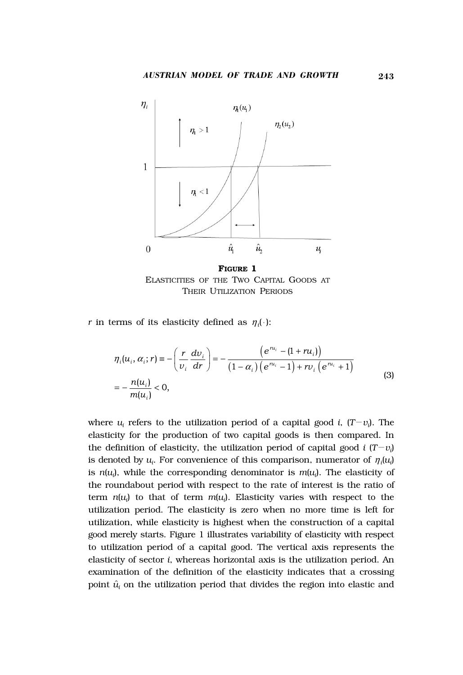

**FIGURE 1** ELASTICITIES OF THE TWO CAPITAL GOODS AT THEIR UTILIZATION PERIODS

*r* in terms of its elasticity defined as  $\eta_i(\cdot)$ :

$$
\eta_i(u_i, \alpha_i; r) = -\left(\frac{r}{v_i} \frac{dv_i}{dr}\right) = -\frac{\left(e^{nu_i} - (1 + ru_i)\right)}{(1 - \alpha_i)\left(e^{nu_i} - 1\right) + rv_i\left(e^{nu_i} + 1\right)}
$$
\n
$$
= -\frac{n(u_i)}{m(u_i)} < 0,
$$
\n(3)

where  $u_i$  refers to the utilization period of a capital good *i*,  $(T - v_i)$ . The elasticity for the production of two capital goods is then compared. In the definition of elasticity, the utilization period of capital good  $i$   $(T-v_i)$ is denoted by  $u_i$ . For convenience of this comparison, numerator of  $\eta_i(u_i)$ is *n*(*ui* ), while the corresponding denominator is *m*(*ui* ). The elasticity of the roundabout period with respect to the rate of interest is the ratio of term *n*(*ui* ) to that of term *m*(*ui* ). Elasticity varies with respect to the utilization period. The elasticity is zero when no more time is left for utilization, while elasticity is highest when the construction of a capital good merely starts. Figure 1 illustrates variability of elasticity with respect to utilization period of a capital good. The vertical axis represents the elasticity of sector *i*, whereas horizontal axis is the utilization period. An examination of the definition of the elasticity indicates that a crossing point  $\hat{u}_i$  on the utilization period that divides the region into elastic and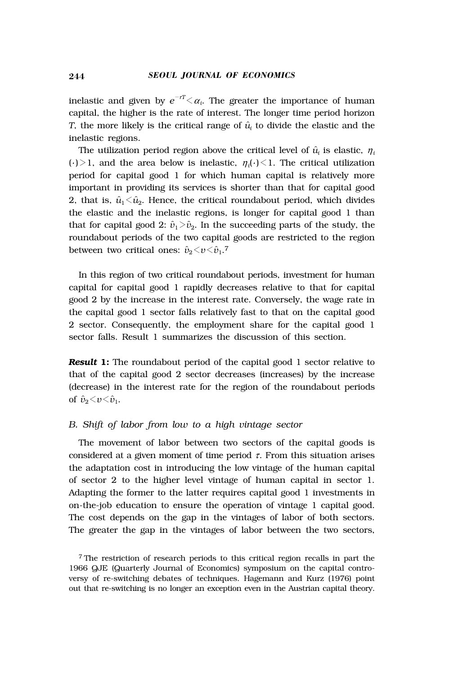inelastic and given by  $e^{-rT} \langle \alpha_i \rangle$ . The greater the importance of human capital, the higher is the rate of interest. The longer time period horizon *T*, the more likely is the critical range of  $\hat{u}$  to divide the elastic and the inelastic regions.

The utilization period region above the critical level of  $\hat{u}_i$  is elastic,  $\eta_i$  $(\cdot)$  > 1, and the area below is inelastic,  $\eta_i(\cdot)$  < 1. The critical utilization period for capital good 1 for which human capital is relatively more important in providing its services is shorter than that for capital good 2, that is,  $\hat{u}_1 \leq \hat{u}_2$ . Hence, the critical roundabout period, which divides the elastic and the inelastic regions, is longer for capital good 1 than that for capital good 2:  $\hat{v}_1 \ge \hat{v}_2$ . In the succeeding parts of the study, the roundabout periods of the two capital goods are restricted to the region between two critical ones:  $\hat{v}_2 \le v \le \hat{v}_1$ .<sup>7</sup>

In this region of two critical roundabout periods, investment for human capital for capital good 1 rapidly decreases relative to that for capital good 2 by the increase in the interest rate. Conversely, the wage rate in the capital good 1 sector falls relatively fast to that on the capital good 2 sector. Consequently, the employment share for the capital good 1 sector falls. Result 1 summarizes the discussion of this section.

**Result 1:** The roundabout period of the capital good 1 sector relative to that of the capital good 2 sector decreases (increases) by the increase (decrease) in the interest rate for the region of the roundabout periods of  $\hat{v}_2 < v < \hat{v}_1$ .

### *B. Shift of labor from low to a high vintage sector*

The movement of labor between two sectors of the capital goods is considered at a given moment of time period  $\tau$ . From this situation arises the adaptation cost in introducing the low vintage of the human capital of sector 2 to the higher level vintage of human capital in sector 1. Adapting the former to the latter requires capital good 1 investments in on-the-job education to ensure the operation of vintage 1 capital good. The cost depends on the gap in the vintages of labor of both sectors. The greater the gap in the vintages of labor between the two sectors,

<sup>7</sup> The restriction of research periods to this critical region recalls in part the 1966 QJE (Quarterly Journal of Economics) symposium on the capital controversy of re-switching debates of techniques. Hagemann and Kurz (1976) point out that re-switching is no longer an exception even in the Austrian capital theory.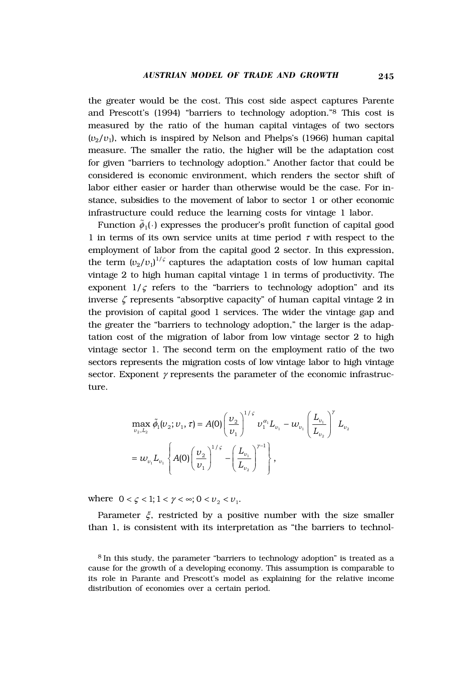the greater would be the cost. This cost side aspect captures Parente and Prescott's (1994) "barriers to technology adoption."8 This cost is measured by the ratio of the human capital vintages of two sectors  $(v_2/v_1)$ , which is inspired by Nelson and Phelps's (1966) human capital measure. The smaller the ratio, the higher will be the adaptation cost for given "barriers to technology adoption." Another factor that could be considered is economic environment, which renders the sector shift of labor either easier or harder than otherwise would be the case. For instance, subsidies to the movement of labor to sector 1 or other economic infrastructure could reduce the learning costs for vintage 1 labor.

Function  $\tilde{\phi}_1(\cdot)$  expresses the producer's profit function of capital good 1 in terms of its own service units at time period  $\tau$  with respect to the employment of labor from the capital good 2 sector. In this expression, the term  $(v_2/v_1)^{1/\varsigma}$  captures the adaptation costs of low human capital vintage 2 to high human capital vintage 1 in terms of productivity. The exponent  $1/\varsigma$  refers to the "barriers to technology adoption" and its inverse  $\zeta$  represents "absorptive capacity" of human capital vintage 2 in the provision of capital good 1 services. The wider the vintage gap and the greater the "barriers to technology adoption," the larger is the adaptation cost of the migration of labor from low vintage sector 2 to high vintage sector 1. The second term on the employment ratio of the two sectors represents the migration costs of low vintage labor to high vintage sector. Exponent  $\gamma$  represents the parameter of the economic infrastructure.

$$
\max_{v_2, L_2} \tilde{\phi}_1(v_2; v_1, \tau) = A(0) \left( \frac{v_2}{v_1} \right)^{1/\varsigma} v_1^{\alpha_1} L_{v_1} - w_{v_1} \left( \frac{L_{v_1}}{L_{v_2}} \right)^{\gamma} L_{v_2}
$$

$$
= w_{v_1} L_{v_1} \left\{ A(0) \left( \frac{v_2}{v_1} \right)^{1/\varsigma} - \left( \frac{L_{v_1}}{L_{v_2}} \right)^{\gamma - 1} \right\},
$$

where  $0 < \zeta < 1; 1 < \gamma < \infty; 0 < \nu_2 < \nu_1$ .

Parameter  $\xi$ , restricted by a positive number with the size smaller than 1, is consistent with its interpretation as "the barriers to technol-

<sup>8</sup> In this study, the parameter "barriers to technology adoption" is treated as a cause for the growth of a developing economy. This assumption is comparable to its role in Parante and Prescott's model as explaining for the relative income distribution of economies over a certain period.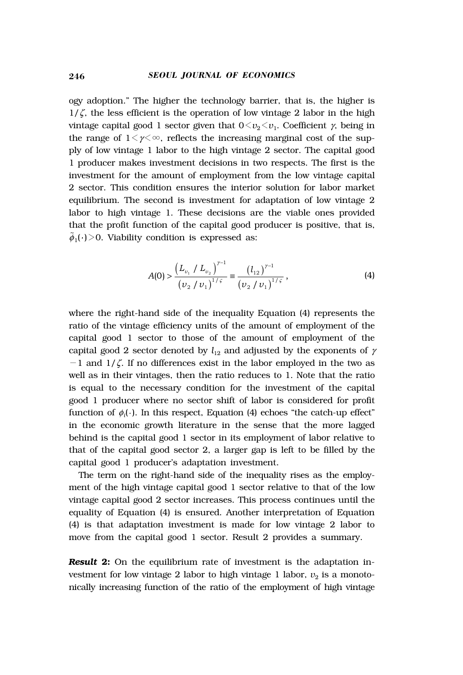ogy adoption." The higher the technology barrier, that is, the higher is  $1/\zeta$ , the less efficient is the operation of low vintage 2 labor in the high vintage capital good 1 sector given that  $0 \le v_2 \le v_1$ . Coefficient  $\gamma$ , being in the range of  $1 \leq \gamma \leq \infty$ , reflects the increasing marginal cost of the supply of low vintage 1 labor to the high vintage 2 sector. The capital good 1 producer makes investment decisions in two respects. The first is the investment for the amount of employment from the low vintage capital 2 sector. This condition ensures the interior solution for labor market equilibrium. The second is investment for adaptation of low vintage 2 labor to high vintage 1. These decisions are the viable ones provided that the profit function of the capital good producer is positive, that is,  $\tilde{\phi}_1(\cdot)$  > 0. Viability condition is expressed as:

$$
A(0) > \frac{\left(L_{\nu_1} / L_{\nu_2}\right)^{\gamma - 1}}{\left(\nu_2 / \nu_1\right)^{1/\varsigma}} = \frac{\left(l_{12}\right)^{\gamma - 1}}{\left(\nu_2 / \nu_1\right)^{1/\varsigma}},
$$
(4)

where the right-hand side of the inequality Equation (4) represents the ratio of the vintage efficiency units of the amount of employment of the capital good 1 sector to those of the amount of employment of the capital good 2 sector denoted by  $l_{12}$  and adjusted by the exponents of  $\gamma$  $-1$  and  $1/\zeta$ . If no differences exist in the labor employed in the two as well as in their vintages, then the ratio reduces to 1. Note that the ratio is equal to the necessary condition for the investment of the capital good 1 producer where no sector shift of labor is considered for profit function of  $\phi_i(\cdot)$ . In this respect, Equation (4) echoes "the catch-up effect" in the economic growth literature in the sense that the more lagged behind is the capital good 1 sector in its employment of labor relative to that of the capital good sector 2, a larger gap is left to be filled by the capital good 1 producer's adaptation investment.

The term on the right-hand side of the inequality rises as the employment of the high vintage capital good 1 sector relative to that of the low vintage capital good 2 sector increases. This process continues until the equality of Equation (4) is ensured. Another interpretation of Equation (4) is that adaptation investment is made for low vintage 2 labor to move from the capital good 1 sector. Result 2 provides a summary.

**Result 2:** On the equilibrium rate of investment is the adaptation investment for low vintage 2 labor to high vintage 1 labor,  $v_2$  is a monotonically increasing function of the ratio of the employment of high vintage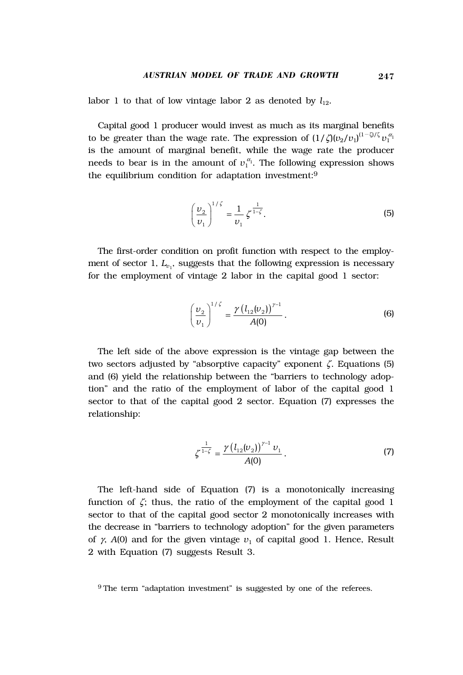labor 1 to that of low vintage labor 2 as denoted by  $l_{12}$ .

Capital good 1 producer would invest as much as its marginal benefits to be greater than the wage rate. The expression of  $(1/\zeta)(v_2/v_1)^{(1-\zeta)/\zeta}v_1^{\alpha_1}$ is the amount of marginal benefit, while the wage rate the producer needs to bear is in the amount of  $v_1^{\alpha_1}$ . The following expression shows the equilibrium condition for adaptation investment:9

$$
\left(\frac{\nu_2}{\nu_1}\right)^{1/\zeta} = \frac{1}{\nu_1} \zeta^{\frac{1}{1-\zeta}}.
$$
 (5)

The first-order condition on profit function with respect to the employment of sector 1,  $L_{v_1}$ , suggests that the following expression is necessary for the employment of vintage 2 labor in the capital good 1 sector:

$$
\left(\frac{\nu_2}{\nu_1}\right)^{1/\zeta} = \frac{\gamma \left(l_{12}(\nu_2)\right)^{\gamma - 1}}{A(0)}.
$$
\n(6)

The left side of the above expression is the vintage gap between the two sectors adjusted by "absorptive capacity" exponent ζ. Equations (5) and (6) yield the relationship between the "barriers to technology adoption" and the ratio of the employment of labor of the capital good 1 sector to that of the capital good 2 sector. Equation (7) expresses the relationship:

$$
\zeta^{\frac{1}{1-\zeta}} = \frac{\gamma (l_{12}(v_2))^{\gamma - 1} v_1}{A(0)}.
$$
\n(7)

The left-hand side of Equation (7) is a monotonically increasing function of  $\zeta$ ; thus, the ratio of the employment of the capital good 1 sector to that of the capital good sector 2 monotonically increases with the decrease in "barriers to technology adoption" for the given parameters of  $\gamma$ ,  $A(0)$  and for the given vintage  $v_1$  of capital good 1. Hence, Result 2 with Equation (7) suggests Result 3.

<sup>9</sup>The term "adaptation investment" is suggested by one of the referees.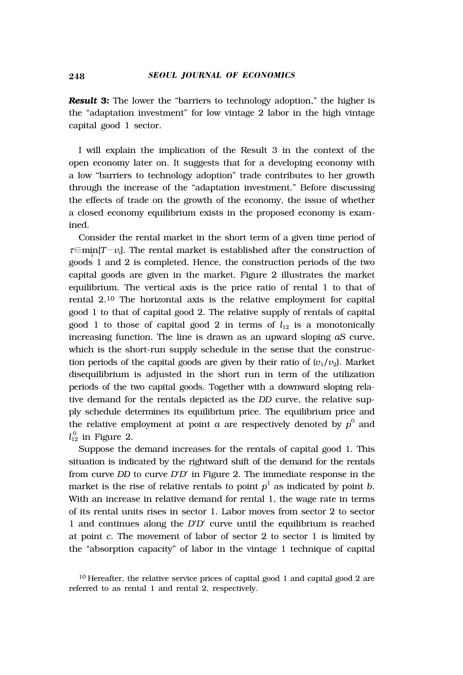*Result* **3:** The lower the "barriers to technology adoption," the higher is the "adaptation investment" for low vintage 2 labor in the high vintage capital good 1 sector.

I will explain the implication of the Result 3 in the context of the open economy later on. It suggests that for a developing economy with a low "barriers to technology adoption" trade contributes to her growth through the increase of the "adaptation investment." Before discussing the effects of trade on the growth of the economy, the issue of whether a closed economy equilibrium exists in the proposed economy is examined.

Consider the rental market in the short term of a given time period of <sup>τ</sup>∈mi*<sup>i</sup>* n[*T*-*vi* ]. The rental market is established after the construction of goods 1 and 2 is completed. Hence, the construction periods of the two capital goods are given in the market. Figure 2 illustrates the market equilibrium. The vertical axis is the price ratio of rental 1 to that of rental 2.10 The horizontal axis is the relative employment for capital good 1 to that of capital good 2. The relative supply of rentals of capital good 1 to those of capital good 2 in terms of  $l_{12}$  is a monotonically increasing function. The line is drawn as an upward sloping *aS* curve, which is the short-run supply schedule in the sense that the construction periods of the capital goods are given by their ratio of  $(v_1/v_2)$ . Market disequilibrium is adjusted in the short run in term of the utilization periods of the two capital goods. Together with a downward sloping relative demand for the rentals depicted as the *DD* curve, the relative supply schedule determines its equilibrium price. The equilibrium price and the relative employment at point  $a$  are respectively denoted by  $p^0$  and  $l_{12}^0$  in Figure 2.

Suppose the demand increases for the rentals of capital good 1. This situation is indicated by the rightward shift of the demand for the rentals from curve *DD* to curve *D*'*D*' in Figure 2. The immediate response in the market is the rise of relative rentals to point  $p^1$  as indicated by point  $b$ . With an increase in relative demand for rental 1, the wage rate in terms of its rental units rises in sector 1. Labor moves from sector 2 to sector 1 and continues along the *D*'*D*' curve until the equilibrium is reached at point *c*. The movement of labor of sector 2 to sector 1 is limited by the "absorption capacity" of labor in the vintage 1 technique of capital

<sup>10</sup> Hereafter, the relative service prices of capital good 1 and capital good 2 are referred to as rental 1 and rental 2, respectively.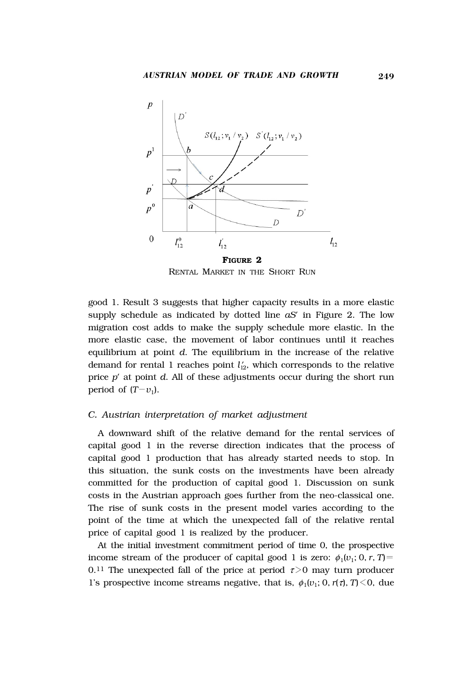

RENTAL MARKET IN THE SHORT RUN

good 1. Result 3 suggests that higher capacity results in a more elastic supply schedule as indicated by dotted line *aS*' in Figure 2. The low migration cost adds to make the supply schedule more elastic. In the more elastic case, the movement of labor continues until it reaches equilibrium at point *d*. The equilibrium in the increase of the relative demand for rental 1 reaches point  $l'_{12}$ , which corresponds to the relative price *p*' at point *d*. All of these adjustments occur during the short run period of  $(T-v_1)$ .

#### *C. Austrian interpretation of market adjustment*

A downward shift of the relative demand for the rental services of capital good 1 in the reverse direction indicates that the process of capital good 1 production that has already started needs to stop. In this situation, the sunk costs on the investments have been already committed for the production of capital good 1. Discussion on sunk costs in the Austrian approach goes further from the neo-classical one. The rise of sunk costs in the present model varies according to the point of the time at which the unexpected fall of the relative rental price of capital good 1 is realized by the producer.

At the initial investment commitment period of time 0, the prospective income stream of the producer of capital good 1 is zero:  $\phi_1(v_1; 0, r, T)$ = 0.<sup>11</sup> The unexpected fall of the price at period  $\tau > 0$  may turn producer 1's prospective income streams negative, that is,  $\phi_1(v_1; 0, r(\tau), T) \le 0$ , due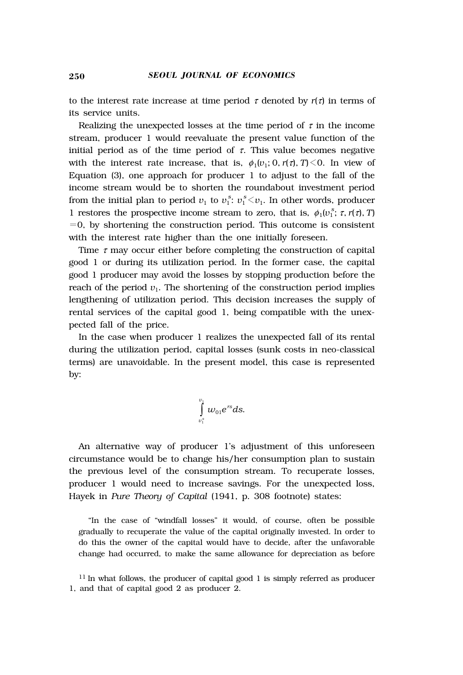to the interest rate increase at time period  $\tau$  denoted by  $r(\tau)$  in terms of its service units.

Realizing the unexpected losses at the time period of  $\tau$  in the income stream, producer 1 would reevaluate the present value function of the initial period as of the time period of  $\tau$ . This value becomes negative with the interest rate increase, that is,  $\phi_1(v_1; 0, r(\tau), T) \leq 0$ . In view of Equation (3), one approach for producer 1 to adjust to the fall of the income stream would be to shorten the roundabout investment period from the initial plan to period  $v_1$  to  $v_1^s$ :  $v_1^s$   $\lt v_1$ . In other words, producer 1 restores the prospective income stream to zero, that is,  $\phi_1(v_1^s; \tau, r(\tau), T)$  $=0$ , by shortening the construction period. This outcome is consistent with the interest rate higher than the one initially foreseen.

Time  $\tau$  may occur either before completing the construction of capital good 1 or during its utilization period. In the former case, the capital good 1 producer may avoid the losses by stopping production before the reach of the period  $v_1$ . The shortening of the construction period implies lengthening of utilization period. This decision increases the supply of rental services of the capital good 1, being compatible with the unexpected fall of the price.

In the case when producer 1 realizes the unexpected fall of its rental during the utilization period, capital losses (sunk costs in neo-classical terms) are unavoidable. In the present model, this case is represented by:

$$
\int\limits_{v_1^s}^{v_1}w_{01}e^{rs}ds.
$$

An alternative way of producer 1's adjustment of this unforeseen circumstance would be to change his/her consumption plan to sustain the previous level of the consumption stream. To recuperate losses, producer 1 would need to increase savings. For the unexpected loss, Hayek in *Pure Theory of Capital* (1941, p. 308 footnote) states:

"In the case of "windfall losses" it would, of course, often be possible gradually to recuperate the value of the capital originally invested. In order to do this the owner of the capital would have to decide, after the unfavorable change had occurred, to make the same allowance for depreciation as before

<sup>11</sup> In what follows, the producer of capital good 1 is simply referred as producer 1, and that of capital good 2 as producer 2.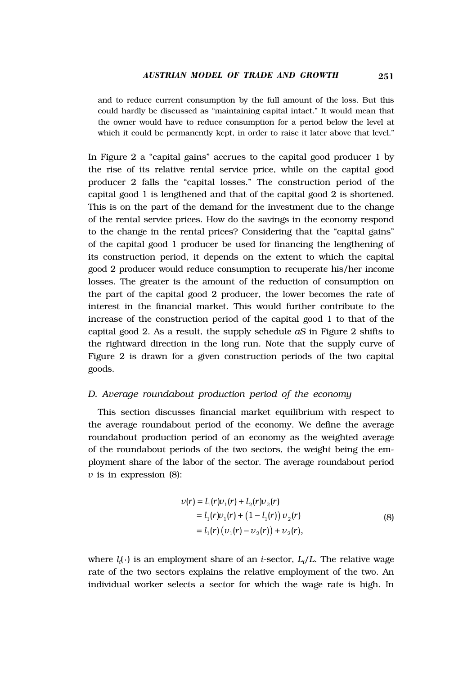and to reduce current consumption by the full amount of the loss. But this could hardly be discussed as "maintaining capital intact." It would mean that the owner would have to reduce consumption for a period below the level at which it could be permanently kept, in order to raise it later above that level."

In Figure 2 a "capital gains" accrues to the capital good producer 1 by the rise of its relative rental service price, while on the capital good producer 2 falls the "capital losses." The construction period of the capital good 1 is lengthened and that of the capital good 2 is shortened. This is on the part of the demand for the investment due to the change of the rental service prices. How do the savings in the economy respond to the change in the rental prices? Considering that the "capital gains" of the capital good 1 producer be used for financing the lengthening of its construction period, it depends on the extent to which the capital good 2 producer would reduce consumption to recuperate his/her income losses. The greater is the amount of the reduction of consumption on the part of the capital good 2 producer, the lower becomes the rate of interest in the financial market. This would further contribute to the increase of the construction period of the capital good 1 to that of the capital good 2. As a result, the supply schedule *aS* in Figure 2 shifts to the rightward direction in the long run. Note that the supply curve of Figure 2 is drawn for a given construction periods of the two capital goods.

#### *D. Average roundabout production period of the economy*

This section discusses financial market equilibrium with respect to the average roundabout period of the economy. We define the average roundabout production period of an economy as the weighted average of the roundabout periods of the two sectors, the weight being the employment share of the labor of the sector. The average roundabout period *v* is in expression (8):

$$
\nu(r) = l_1(r)\nu_1(r) + l_2(r)\nu_2(r)
$$
  
=  $l_1(r)\nu_1(r) + (1 - l_1(r))\nu_2(r)$   
=  $l_1(r) (\nu_1(r) - \nu_2(r)) + \nu_2(r)$ , (8)

where *li* ( ) is an employment share of an *i*-sector, *Li* /*L*. The relative wage rate of the two sectors explains the relative employment of the two. An individual worker selects a sector for which the wage rate is high. In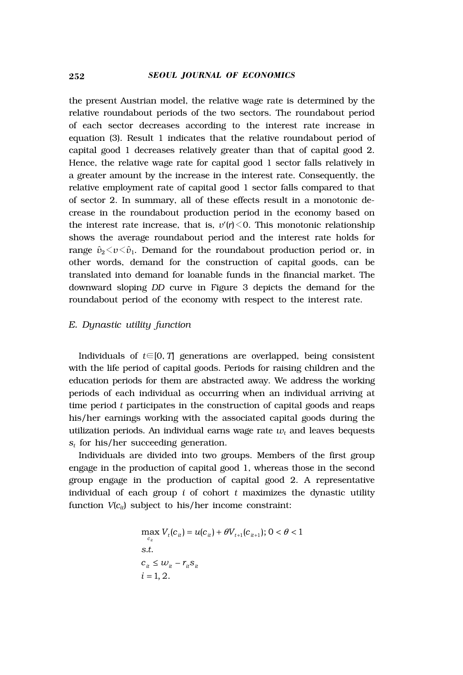the present Austrian model, the relative wage rate is determined by the relative roundabout periods of the two sectors. The roundabout period of each sector decreases according to the interest rate increase in equation (3). Result 1 indicates that the relative roundabout period of capital good 1 decreases relatively greater than that of capital good 2. Hence, the relative wage rate for capital good 1 sector falls relatively in a greater amount by the increase in the interest rate. Consequently, the relative employment rate of capital good 1 sector falls compared to that of sector 2. In summary, all of these effects result in a monotonic decrease in the roundabout production period in the economy based on the interest rate increase, that is,  $v'(r) \leq 0$ . This monotonic relationship shows the average roundabout period and the interest rate holds for range  $\hat{v}_2 \langle v \langle \hat{v}_1 \rangle$ . Demand for the roundabout production period or, in other words, demand for the construction of capital goods, can be translated into demand for loanable funds in the financial market. The downward sloping *DD* curve in Figure 3 depicts the demand for the roundabout period of the economy with respect to the interest rate.

#### *E. Dynastic utility function*

Individuals of *t*∈[0, *T*] generations are overlapped, being consistent with the life period of capital goods. Periods for raising children and the education periods for them are abstracted away. We address the working periods of each individual as occurring when an individual arriving at time period *t* participates in the construction of capital goods and reaps his/her earnings working with the associated capital goods during the utilization periods. An individual earns wage rate  $w_t$  and leaves bequests *st* for his/her succeeding generation.

Individuals are divided into two groups. Members of the first group engage in the production of capital good 1, whereas those in the second group engage in the production of capital good 2. A representative individual of each group *i* of cohort *t* maximizes the dynastic utility function  $V(c_{it})$  subject to his/her income constraint:

$$
\max_{c_{it}} V_t(c_{it}) = u(c_{it}) + \theta V_{t+1}(c_{it+1}); 0 < \theta < 1
$$
  
s.t.  

$$
c_{it} \le w_{it} - r_{it} s_{it}
$$
  

$$
i = 1, 2.
$$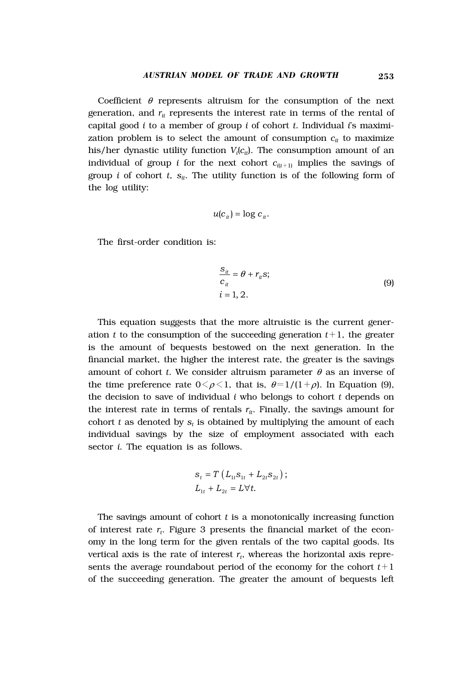Coefficient  $\theta$  represents altruism for the consumption of the next generation, and  $r_{it}$  represents the interest rate in terms of the rental of capital good *i* to a member of group *i* of cohort *t*. Individual *i*'s maximization problem is to select the amount of consumption  $c_{it}$  to maximize his/her dynastic utility function  $V_i(c_{it})$ . The consumption amount of an individual of group *i* for the next cohort  $c_{i(t+1)}$  implies the savings of group *i* of cohort *t*,  $s_{ii}$ . The utility function is of the following form of the log utility:

$$
u(c_{it}) = \log c_{it}.
$$

The first-order condition is:

$$
\frac{S_{it}}{c_{it}} = \theta + r_{it} s;
$$
  
\n
$$
i = 1, 2.
$$
\n(9)

This equation suggests that the more altruistic is the current generation  $t$  to the consumption of the succeeding generation  $t+1$ , the greater is the amount of bequests bestowed on the next generation. In the financial market, the higher the interest rate, the greater is the savings amount of cohort *t*. We consider altruism parameter  $\theta$  as an inverse of the time preference rate  $0 \leq \rho \leq 1$ , that is,  $\theta = 1/(1+\rho)$ . In Equation (9), the decision to save of individual *i* who belongs to cohort *t* depends on the interest rate in terms of rentals  $r_{it}$ . Finally, the savings amount for cohort  $t$  as denoted by  $s_t$  is obtained by multiplying the amount of each individual savings by the size of employment associated with each sector *i*. The equation is as follows.

$$
s_t = T\left(L_{1t}s_{1t} + L_{2t}s_{2t}\right);
$$
  

$$
L_{1t} + L_{2t} = L\forall t.
$$

The savings amount of cohort *t* is a monotonically increasing function of interest rate  $r_t$ . Figure 3 presents the financial market of the economy in the long term for the given rentals of the two capital goods. Its vertical axis is the rate of interest  $r_t$ , whereas the horizontal axis represents the average roundabout period of the economy for the cohort  $t+1$ of the succeeding generation. The greater the amount of bequests left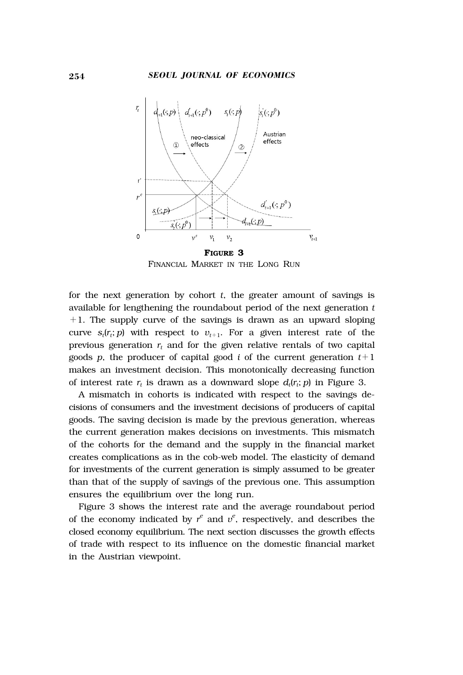

FINANCIAL MARKET IN THE LONG RUN

for the next generation by cohort  $t$ , the greater amount of savings is available for lengthening the roundabout period of the next generation *t*  $+1$ . The supply curve of the savings is drawn as an upward sloping curve  $s_t(r_t; p)$  with respect to  $v_{t+1}$ . For a given interest rate of the previous generation  $r_t$  and for the given relative rentals of two capital goods *p*, the producer of capital good *i* of the current generation  $t+1$ makes an investment decision. This monotonically decreasing function of interest rate  $r_t$  is drawn as a downward slope  $d_t(r_t; p)$  in Figure 3.

A mismatch in cohorts is indicated with respect to the savings decisions of consumers and the investment decisions of producers of capital goods. The saving decision is made by the previous generation, whereas the current generation makes decisions on investments. This mismatch of the cohorts for the demand and the supply in the financial market creates complications as in the cob-web model. The elasticity of demand for investments of the current generation is simply assumed to be greater than that of the supply of savings of the previous one. This assumption ensures the equilibrium over the long run.

Figure 3 shows the interest rate and the average roundabout period of the economy indicated by  $r^e$  and  $v^e$ , respectively, and describes the closed economy equilibrium. The next section discusses the growth effects of trade with respect to its influence on the domestic financial market in the Austrian viewpoint.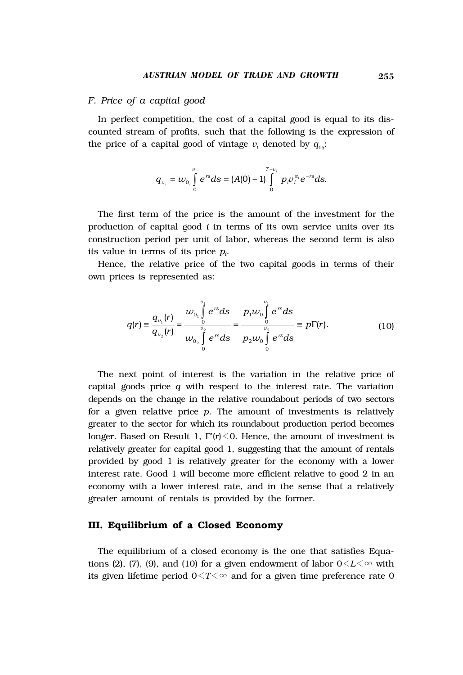#### *F. Price of a capital good*

In perfect competition, the cost of a capital good is equal to its discounted stream of profits, such that the following is the expression of the price of a capital good of vintage  $v_i$  denoted by  $q_{v_i}$ :

$$
q_{\nu_i} = w_{0_i} \int\limits_{0}^{\nu_i} e^{rs} ds = (A(0) - 1) \int\limits_{0}^{T-\nu_i} p_i \nu_i^{\alpha_i} e^{-rs} ds.
$$

The first term of the price is the amount of the investment for the production of capital good *i* in terms of its own service units over its construction period per unit of labor, whereas the second term is also its value in terms of its price  $p_i$ .

Hence, the relative price of the two capital goods in terms of their own prices is represented as:

$$
q(r) = \frac{q_{\nu_1}(r)}{q_{\nu_2}(r)} = \frac{w_{\nu_1}\int_0^{\nu_1} e^{rs}ds}{w_{\nu_2}\int_0^{\nu_2} e^{rs}ds} = \frac{p_1w_0\int_0^{\nu_1} e^{rs}ds}{p_2w_0\int_0^{\nu_2} e^{rs}ds} = p\Gamma(r). \tag{10}
$$

The next point of interest is the variation in the relative price of capital goods price *q* with respect to the interest rate. The variation depends on the change in the relative roundabout periods of two sectors for a given relative price *p*. The amount of investments is relatively greater to the sector for which its roundabout production period becomes longer. Based on Result 1,  $\Gamma'(r) \leq 0$ . Hence, the amount of investment is relatively greater for capital good 1, suggesting that the amount of rentals provided by good 1 is relatively greater for the economy with a lower interest rate. Good 1 will become more efficient relative to good 2 in an economy with a lower interest rate, and in the sense that a relatively greater amount of rentals is provided by the former.

### **III. Equilibrium of a Closed Economy**

The equilibrium of a closed economy is the one that satisfies Equations (2), (7), (9), and (10) for a given endowment of labor  $0 \le L \le \infty$  with its given lifetime period  $0 \leq T \leq \infty$  and for a given time preference rate 0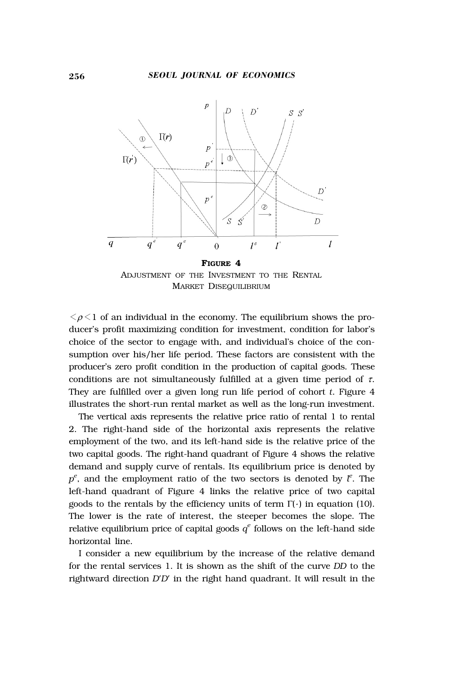

ADJUSTMENT OF THE INVESTMENT TO THE RENTAL MARKET DISEQUILIBRIUM

 $\langle \rho \rangle$  of an individual in the economy. The equilibrium shows the producer's profit maximizing condition for investment, condition for labor's choice of the sector to engage with, and individual's choice of the consumption over his/her life period. These factors are consistent with the producer's zero profit condition in the production of capital goods. These conditions are not simultaneously fulfilled at a given time period of  $\tau$ . They are fulfilled over a given long run life period of cohort *t*. Figure 4 illustrates the short-run rental market as well as the long-run investment.

The vertical axis represents the relative price ratio of rental 1 to rental 2. The right-hand side of the horizontal axis represents the relative employment of the two, and its left-hand side is the relative price of the two capital goods. The right-hand quadrant of Figure 4 shows the relative demand and supply curve of rentals. Its equilibrium price is denoted by  $p^e$ , and the employment ratio of the two sectors is denoted by  $l^e$ . The left-hand quadrant of Figure 4 links the relative price of two capital goods to the rentals by the efficiency units of term  $\Gamma(\cdot)$  in equation (10). The lower is the rate of interest, the steeper becomes the slope. The relative equilibrium price of capital goods  $q^e$  follows on the left-hand side horizontal line.

I consider a new equilibrium by the increase of the relative demand for the rental services 1. It is shown as the shift of the curve *DD* to the rightward direction *D*'*D*' in the right hand quadrant. It will result in the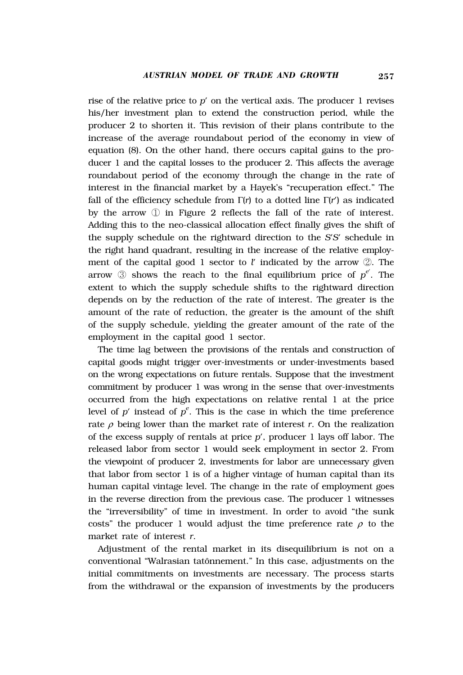rise of the relative price to *p*' on the vertical axis. The producer 1 revises his/her investment plan to extend the construction period, while the producer 2 to shorten it. This revision of their plans contribute to the increase of the average roundabout period of the economy in view of equation (8). On the other hand, there occurs capital gains to the producer 1 and the capital losses to the producer 2. This affects the average roundabout period of the economy through the change in the rate of interest in the financial market by a Hayek's "recuperation effect." The fall of the efficiency schedule from Γ(*r*) to a dotted line Γ(*r*') as indicated by the arrow ① in Figure 2 reflects the fall of the rate of interest. Adding this to the neo-classical allocation effect finally gives the shift of the supply schedule on the rightward direction to the *S*'*S*' schedule in the right hand quadrant, resulting in the increase of the relative employment of the capital good 1 sector to *l*' indicated by the arrow ②. The arrow ③ shows the reach to the final equilibrium price of *pe*' . The extent to which the supply schedule shifts to the rightward direction depends on by the reduction of the rate of interest. The greater is the amount of the rate of reduction, the greater is the amount of the shift of the supply schedule, yielding the greater amount of the rate of the employment in the capital good 1 sector.

The time lag between the provisions of the rentals and construction of capital goods might trigger over-investments or under-investments based on the wrong expectations on future rentals. Suppose that the investment commitment by producer 1 was wrong in the sense that over-investments occurred from the high expectations on relative rental 1 at the price level of  $p'$  instead of  $p^e$ . This is the case in which the time preference rate  $\rho$  being lower than the market rate of interest  $r$ . On the realization of the excess supply of rentals at price *p*', producer 1 lays off labor. The released labor from sector 1 would seek employment in sector 2. From the viewpoint of producer 2, investments for labor are unnecessary given that labor from sector 1 is of a higher vintage of human capital than its human capital vintage level. The change in the rate of employment goes in the reverse direction from the previous case. The producer 1 witnesses the "irreversibility" of time in investment. In order to avoid "the sunk costs" the producer 1 would adjust the time preference rate  $\rho$  to the market rate of interest *r*.

Adjustment of the rental market in its disequilibrium is not on a conventional "Walrasian tatônnement." In this case, adjustments on the initial commitments on investments are necessary. The process starts from the withdrawal or the expansion of investments by the producers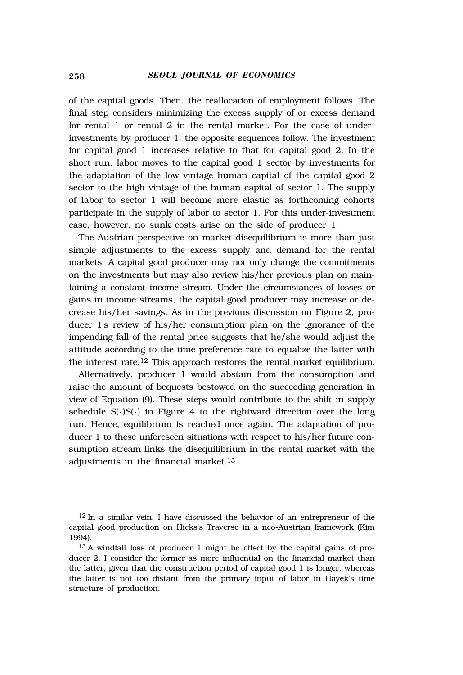of the capital goods. Then, the reallocation of employment follows. The final step considers minimizing the excess supply of or excess demand for rental 1 or rental 2 in the rental market. For the case of underinvestments by producer 1, the opposite sequences follow. The investment for capital good 1 increases relative to that for capital good 2. In the short run, labor moves to the capital good 1 sector by investments for the adaptation of the low vintage human capital of the capital good 2 sector to the high vintage of the human capital of sector 1. The supply of labor to sector 1 will become more elastic as forthcoming cohorts participate in the supply of labor to sector 1. For this under-investment case, however, no sunk costs arise on the side of producer 1.

The Austrian perspective on market disequilibrium is more than just simple adjustments to the excess supply and demand for the rental markets. A capital good producer may not only change the commitments on the investments but may also review his/her previous plan on maintaining a constant income stream. Under the circumstances of losses or gains in income streams, the capital good producer may increase or decrease his/her savings. As in the previous discussion on Figure 2, producer 1's review of his/her consumption plan on the ignorance of the impending fall of the rental price suggests that he/she would adjust the attitude according to the time preference rate to equalize the latter with the interest rate.12 This approach restores the rental market equilibrium.

Alternatively, producer 1 would abstain from the consumption and raise the amount of bequests bestowed on the succeeding generation in view of Equation (9). These steps would contribute to the shift in supply schedule *S*( )*S*( ) in Figure 4 to the rightward direction over the long run. Hence, equilibrium is reached once again. The adaptation of producer 1 to these unforeseen situations with respect to his/her future consumption stream links the disequilibrium in the rental market with the adjustments in the financial market.13

 $12 \text{ In a similar vein}, I have discussed the behavior of an enterpriseuer of the$ capital good production on Hicks's Traverse in a neo-Austrian framework (Kim 1994).

<sup>13</sup> A windfall loss of producer 1 might be offset by the capital gains of producer 2. I consider the former as more influential on the financial market than the latter, given that the construction period of capital good 1 is longer, whereas the latter is not too distant from the primary input of labor in Hayek's time structure of production.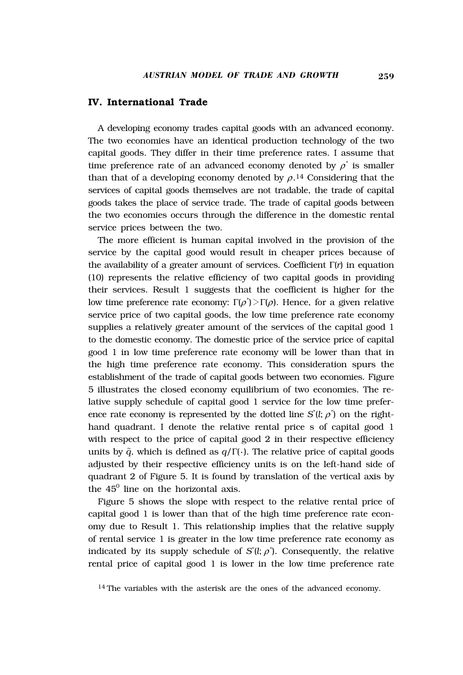### **IV. International Trade**

A developing economy trades capital goods with an advanced economy. The two economies have an identical production technology of the two capital goods. They differ in their time preference rates. I assume that time preference rate of an advanced economy denoted by  $\rho^*$  is smaller than that of a developing economy denoted by  $\rho$ .<sup>14</sup> Considering that the services of capital goods themselves are not tradable, the trade of capital goods takes the place of service trade. The trade of capital goods between the two economies occurs through the difference in the domestic rental service prices between the two.

The more efficient is human capital involved in the provision of the service by the capital good would result in cheaper prices because of the availability of a greater amount of services. Coefficient Γ(*r*) in equation (10) represents the relative efficiency of two capital goods in providing their services. Result 1 suggests that the coefficient is higher for the low time preference rate economy:  $\Gamma(\rho^*)$   $>$   $\Gamma(\rho)$ . Hence, for a given relative service price of two capital goods, the low time preference rate economy supplies a relatively greater amount of the services of the capital good 1 to the domestic economy. The domestic price of the service price of capital good 1 in low time preference rate economy will be lower than that in the high time preference rate economy. This consideration spurs the establishment of the trade of capital goods between two economies. Figure 5 illustrates the closed economy equilibrium of two economies. The relative supply schedule of capital good 1 service for the low time preference rate economy is represented by the dotted line  $S<sup>*</sup>(l; \rho<sup>*</sup>)$  on the righthand quadrant. I denote the relative rental price s of capital good 1 with respect to the price of capital good 2 in their respective efficiency units by  $\tilde{q}$ , which is defined as  $q/\Gamma(\cdot)$ . The relative price of capital goods adjusted by their respective efficiency units is on the left-hand side of quadrant 2 of Figure 5. It is found by translation of the vertical axis by the  $45^{\circ}$  line on the horizontal axis.

Figure 5 shows the slope with respect to the relative rental price of capital good 1 is lower than that of the high time preference rate economy due to Result 1. This relationship implies that the relative supply of rental service 1 is greater in the low time preference rate economy as indicated by its supply schedule of  $S^*(l; \rho^*)$ . Consequently, the relative rental price of capital good 1 is lower in the low time preference rate

<sup>14</sup> The variables with the asterisk are the ones of the advanced economy.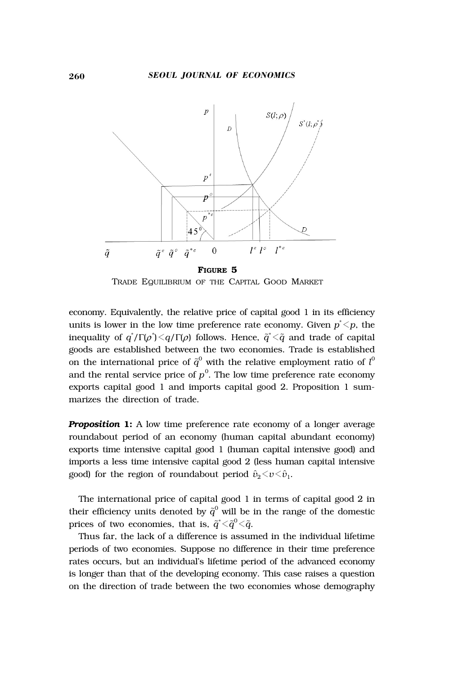

TRADE EQUILIBRIUM OF THE CAPITAL GOOD MARKET

economy. Equivalently, the relative price of capital good 1 in its efficiency units is lower in the low time preference rate economy. Given  $p^*{<}p$ , the inequality of  $q^*/\Gamma(\rho^*)$  <  $q/\Gamma(\rho)$  follows. Hence,  $\widetilde{q}^*$  <  $\widetilde{q}$  and trade of capital goods are established between the two economies. Trade is established on the international price of  ${\widetilde q}^0$  with the relative employment ratio of  $l^0$ and the rental service price of  $p^0$ . The low time preference rate economy exports capital good 1 and imports capital good 2. Proposition 1 summarizes the direction of trade.

*Proposition* 1: A low time preference rate economy of a longer average roundabout period of an economy (human capital abundant economy) exports time intensive capital good 1 (human capital intensive good) and imports a less time intensive capital good 2 (less human capital intensive good) for the region of roundabout period  $\hat{v}_2 \langle v \langle \hat{v}_1$ .

The international price of capital good 1 in terms of capital good 2 in their efficiency units denoted by  ${\widetilde q}^0$  will be in the range of the domestic prices of two economies, that is,  $\tilde{q}^*$  <  $\tilde{q}^0$  <  $\tilde{q}$ .

Thus far, the lack of a difference is assumed in the individual lifetime periods of two economies. Suppose no difference in their time preference rates occurs, but an individual's lifetime period of the advanced economy is longer than that of the developing economy. This case raises a question on the direction of trade between the two economies whose demography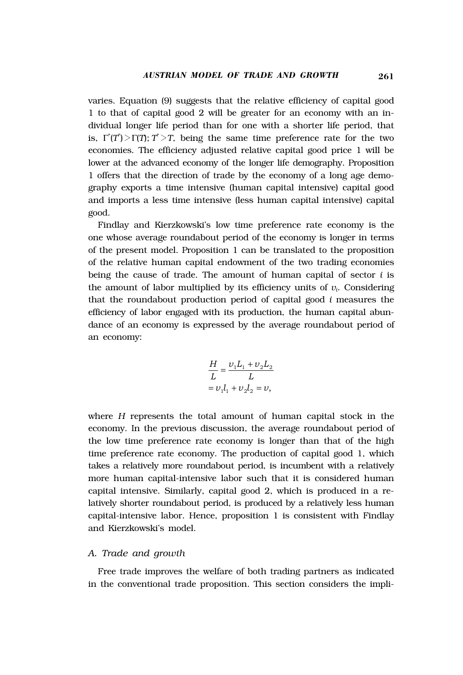varies. Equation (9) suggests that the relative efficiency of capital good 1 to that of capital good 2 will be greater for an economy with an individual longer life period than for one with a shorter life period, that is,  $\Gamma^*(T^*)$   $>\Gamma(T)$ ;  $T^*$   $>\gamma$ , being the same time preference rate for the two economies. The efficiency adjusted relative capital good price 1 will be lower at the advanced economy of the longer life demography. Proposition 1 offers that the direction of trade by the economy of a long age demography exports a time intensive (human capital intensive) capital good and imports a less time intensive (less human capital intensive) capital good.

Findlay and Kierzkowski's low time preference rate economy is the one whose average roundabout period of the economy is longer in terms of the present model. Proposition 1 can be translated to the proposition of the relative human capital endowment of the two trading economies being the cause of trade. The amount of human capital of sector *i* is the amount of labor multiplied by its efficiency units of  $v_i$ . Considering that the roundabout production period of capital good *i* measures the efficiency of labor engaged with its production, the human capital abundance of an economy is expressed by the average roundabout period of an economy:

$$
\frac{H}{L} = \frac{\nu_1 L_1 + \nu_2 L_2}{L}
$$

$$
= \nu_1 l_1 + \nu_2 l_2 = \nu,
$$

where *H* represents the total amount of human capital stock in the economy. In the previous discussion, the average roundabout period of the low time preference rate economy is longer than that of the high time preference rate economy. The production of capital good 1, which takes a relatively more roundabout period, is incumbent with a relatively more human capital-intensive labor such that it is considered human capital intensive. Similarly, capital good 2, which is produced in a relatively shorter roundabout period, is produced by a relatively less human capital-intensive labor. Hence, proposition 1 is consistent with Findlay and Kierzkowski's model.

#### *A. Trade and growth*

Free trade improves the welfare of both trading partners as indicated in the conventional trade proposition. This section considers the impli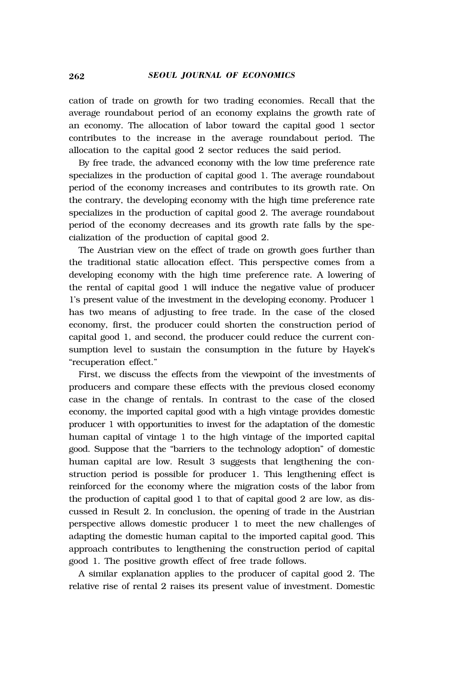cation of trade on growth for two trading economies. Recall that the average roundabout period of an economy explains the growth rate of an economy. The allocation of labor toward the capital good 1 sector contributes to the increase in the average roundabout period. The allocation to the capital good 2 sector reduces the said period.

By free trade, the advanced economy with the low time preference rate specializes in the production of capital good 1. The average roundabout period of the economy increases and contributes to its growth rate. On the contrary, the developing economy with the high time preference rate specializes in the production of capital good 2. The average roundabout period of the economy decreases and its growth rate falls by the specialization of the production of capital good 2.

The Austrian view on the effect of trade on growth goes further than the traditional static allocation effect. This perspective comes from a developing economy with the high time preference rate. A lowering of the rental of capital good 1 will induce the negative value of producer 1's present value of the investment in the developing economy. Producer 1 has two means of adjusting to free trade. In the case of the closed economy, first, the producer could shorten the construction period of capital good 1, and second, the producer could reduce the current consumption level to sustain the consumption in the future by Hayek's "recuperation effect."

First, we discuss the effects from the viewpoint of the investments of producers and compare these effects with the previous closed economy case in the change of rentals. In contrast to the case of the closed economy, the imported capital good with a high vintage provides domestic producer 1 with opportunities to invest for the adaptation of the domestic human capital of vintage 1 to the high vintage of the imported capital good. Suppose that the "barriers to the technology adoption" of domestic human capital are low. Result 3 suggests that lengthening the construction period is possible for producer 1. This lengthening effect is reinforced for the economy where the migration costs of the labor from the production of capital good 1 to that of capital good 2 are low, as discussed in Result 2. In conclusion, the opening of trade in the Austrian perspective allows domestic producer 1 to meet the new challenges of adapting the domestic human capital to the imported capital good. This approach contributes to lengthening the construction period of capital good 1. The positive growth effect of free trade follows.

A similar explanation applies to the producer of capital good 2. The relative rise of rental 2 raises its present value of investment. Domestic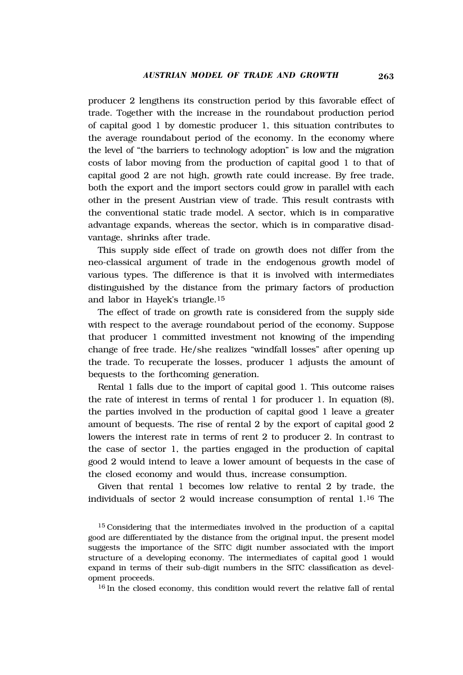producer 2 lengthens its construction period by this favorable effect of trade. Together with the increase in the roundabout production period of capital good 1 by domestic producer 1, this situation contributes to the average roundabout period of the economy. In the economy where the level of "the barriers to technology adoption" is low and the migration costs of labor moving from the production of capital good 1 to that of capital good 2 are not high, growth rate could increase. By free trade, both the export and the import sectors could grow in parallel with each other in the present Austrian view of trade. This result contrasts with the conventional static trade model. A sector, which is in comparative advantage expands, whereas the sector, which is in comparative disadvantage, shrinks after trade.

This supply side effect of trade on growth does not differ from the neo-classical argument of trade in the endogenous growth model of various types. The difference is that it is involved with intermediates distinguished by the distance from the primary factors of production and labor in Hayek's triangle.15

The effect of trade on growth rate is considered from the supply side with respect to the average roundabout period of the economy. Suppose that producer 1 committed investment not knowing of the impending change of free trade. He/she realizes "windfall losses" after opening up the trade. To recuperate the losses, producer 1 adjusts the amount of bequests to the forthcoming generation.

Rental 1 falls due to the import of capital good 1. This outcome raises the rate of interest in terms of rental 1 for producer 1. In equation (8), the parties involved in the production of capital good 1 leave a greater amount of bequests. The rise of rental 2 by the export of capital good 2 lowers the interest rate in terms of rent 2 to producer 2. In contrast to the case of sector 1, the parties engaged in the production of capital good 2 would intend to leave a lower amount of bequests in the case of the closed economy and would thus, increase consumption.

Given that rental 1 becomes low relative to rental 2 by trade, the individuals of sector 2 would increase consumption of rental 1.16 The

<sup>15</sup> Considering that the intermediates involved in the production of a capital good are differentiated by the distance from the original input, the present model suggests the importance of the SITC digit number associated with the import structure of a developing economy. The intermediates of capital good 1 would expand in terms of their sub-digit numbers in the SITC classification as development proceeds.

<sup>16</sup> In the closed economy, this condition would revert the relative fall of rental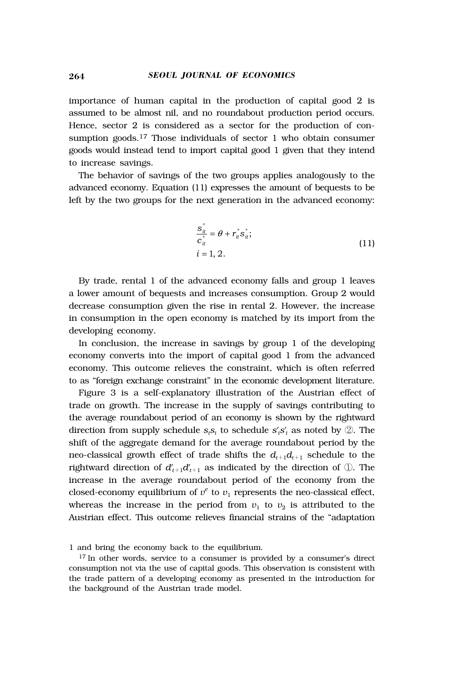#### 264 *SEOUL JOURNAL OF ECONOMICS*

importance of human capital in the production of capital good 2 is assumed to be almost nil, and no roundabout production period occurs. Hence, sector 2 is considered as a sector for the production of consumption goods.17 Those individuals of sector 1 who obtain consumer goods would instead tend to import capital good 1 given that they intend to increase savings.

The behavior of savings of the two groups applies analogously to the advanced economy. Equation (11) expresses the amount of bequests to be left by the two groups for the next generation in the advanced economy:

$$
\frac{s_{\dot{x}}^{*}}{c_{\dot{x}}^{*}} = \theta + r_{\dot{x}}^{*} s_{\dot{x}}^{*};
$$
\n
$$
i = 1, 2.
$$
\n(11)

By trade, rental 1 of the advanced economy falls and group 1 leaves a lower amount of bequests and increases consumption. Group 2 would decrease consumption given the rise in rental 2. However, the increase in consumption in the open economy is matched by its import from the developing economy.

In conclusion, the increase in savings by group 1 of the developing economy converts into the import of capital good 1 from the advanced economy. This outcome relieves the constraint, which is often referred to as "foreign exchange constraint" in the economic development literature.

Figure 3 is a self-explanatory illustration of the Austrian effect of trade on growth. The increase in the supply of savings contributing to the average roundabout period of an economy is shown by the rightward direction from supply schedule  $s_i s_i$  to schedule  $s_i s_i$  as noted by  $\oslash$ . The shift of the aggregate demand for the average roundabout period by the neo-classical growth effect of trade shifts the  $d_{t+1}d_{t+1}$  schedule to the rightward direction of  $d'_{t+1}d'_{t+1}$  as indicated by the direction of  $\mathbb U$ . The increase in the average roundabout period of the economy from the closed-economy equilibrium of  $v^e$  to  $v_1$  represents the neo-classical effect, whereas the increase in the period from  $v_1$  to  $v_2$  is attributed to the Austrian effect. This outcome relieves financial strains of the "adaptation

<sup>1</sup> and bring the economy back to the equilibrium.

<sup>17</sup> In other words, service to a consumer is provided by a consumer's direct consumption not via the use of capital goods. This observation is consistent with the trade pattern of a developing economy as presented in the introduction for the background of the Austrian trade model.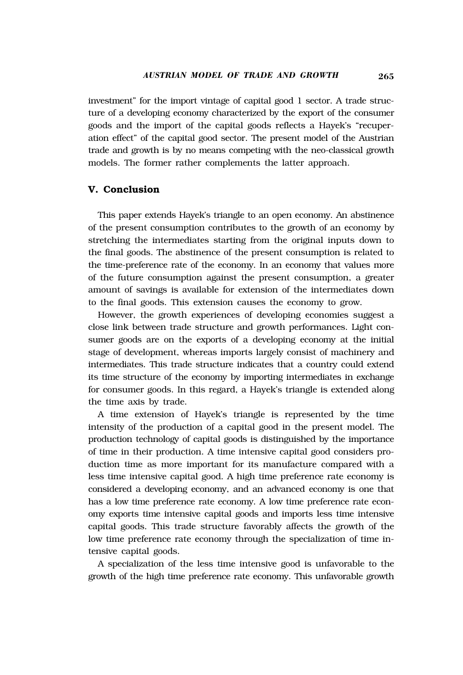investment" for the import vintage of capital good 1 sector. A trade structure of a developing economy characterized by the export of the consumer goods and the import of the capital goods reflects a Hayek's "recuperation effect" of the capital good sector. The present model of the Austrian trade and growth is by no means competing with the neo-classical growth models. The former rather complements the latter approach.

#### **V. Conclusion**

This paper extends Hayek's triangle to an open economy. An abstinence of the present consumption contributes to the growth of an economy by stretching the intermediates starting from the original inputs down to the final goods. The abstinence of the present consumption is related to the time-preference rate of the economy. In an economy that values more of the future consumption against the present consumption, a greater amount of savings is available for extension of the intermediates down to the final goods. This extension causes the economy to grow.

However, the growth experiences of developing economies suggest a close link between trade structure and growth performances. Light consumer goods are on the exports of a developing economy at the initial stage of development, whereas imports largely consist of machinery and intermediates. This trade structure indicates that a country could extend its time structure of the economy by importing intermediates in exchange for consumer goods. In this regard, a Hayek's triangle is extended along the time axis by trade.

A time extension of Hayek's triangle is represented by the time intensity of the production of a capital good in the present model. The production technology of capital goods is distinguished by the importance of time in their production. A time intensive capital good considers production time as more important for its manufacture compared with a less time intensive capital good. A high time preference rate economy is considered a developing economy, and an advanced economy is one that has a low time preference rate economy. A low time preference rate economy exports time intensive capital goods and imports less time intensive capital goods. This trade structure favorably affects the growth of the low time preference rate economy through the specialization of time intensive capital goods.

A specialization of the less time intensive good is unfavorable to the growth of the high time preference rate economy. This unfavorable growth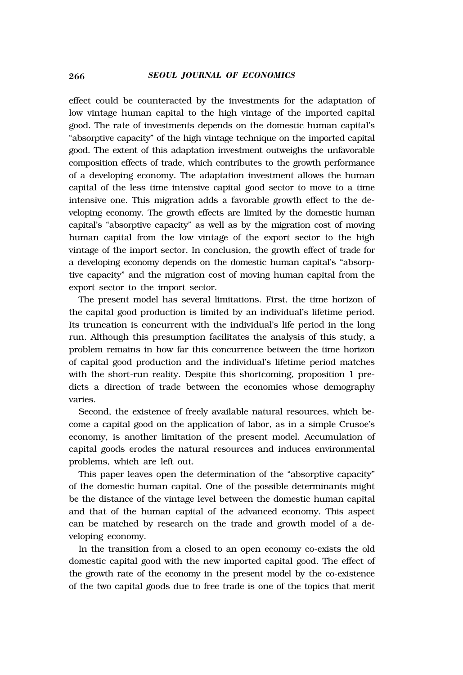effect could be counteracted by the investments for the adaptation of low vintage human capital to the high vintage of the imported capital good. The rate of investments depends on the domestic human capital's "absorptive capacity" of the high vintage technique on the imported capital good. The extent of this adaptation investment outweighs the unfavorable composition effects of trade, which contributes to the growth performance of a developing economy. The adaptation investment allows the human capital of the less time intensive capital good sector to move to a time intensive one. This migration adds a favorable growth effect to the developing economy. The growth effects are limited by the domestic human capital's "absorptive capacity" as well as by the migration cost of moving human capital from the low vintage of the export sector to the high vintage of the import sector. In conclusion, the growth effect of trade for a developing economy depends on the domestic human capital's "absorptive capacity" and the migration cost of moving human capital from the export sector to the import sector.

The present model has several limitations. First, the time horizon of the capital good production is limited by an individual's lifetime period. Its truncation is concurrent with the individual's life period in the long run. Although this presumption facilitates the analysis of this study, a problem remains in how far this concurrence between the time horizon of capital good production and the individual's lifetime period matches with the short-run reality. Despite this shortcoming, proposition 1 predicts a direction of trade between the economies whose demography varies.

Second, the existence of freely available natural resources, which become a capital good on the application of labor, as in a simple Crusoe's economy, is another limitation of the present model. Accumulation of capital goods erodes the natural resources and induces environmental problems, which are left out.

This paper leaves open the determination of the "absorptive capacity" of the domestic human capital. One of the possible determinants might be the distance of the vintage level between the domestic human capital and that of the human capital of the advanced economy. This aspect can be matched by research on the trade and growth model of a developing economy.

In the transition from a closed to an open economy co-exists the old domestic capital good with the new imported capital good. The effect of the growth rate of the economy in the present model by the co-existence of the two capital goods due to free trade is one of the topics that merit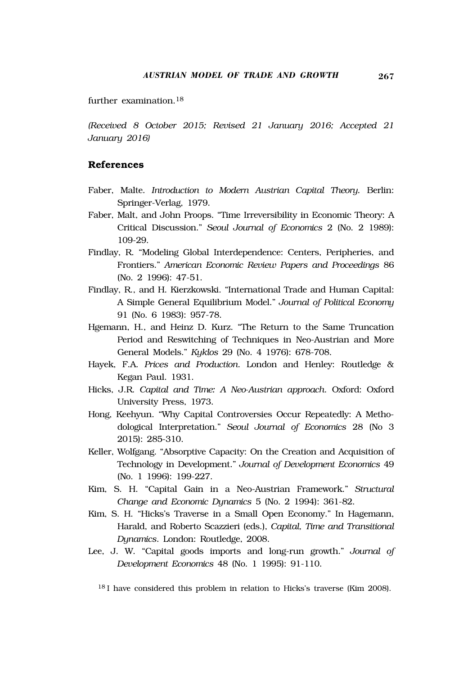further examination.18

*(Received 8 October 2015; Revised 21 January 2016; Accepted 21 January 2016)* 

## **References**

- Faber, Malte. *Introduction to Modern Austrian Capital Theory.* Berlin: Springer-Verlag, 1979.
- Faber, Malt, and John Proops. "Time Irreversibility in Economic Theory: A Critical Discussion." *Seoul Journal of Economics* 2 (No. 2 1989): 109-29.
- Findlay, R. "Modeling Global Interdependence: Centers, Peripheries, and Frontiers." *American Economic Review Papers and Proceedings* 86 (No. 2 1996): 47-51.
- Findlay, R., and H. Kierzkowski. "International Trade and Human Capital: A Simple General Equilibrium Model." *Journal of Political Economy*  91 (No. 6 1983): 957-78.
- Hgemann, H., and Heinz D. Kurz. "The Return to the Same Truncation Period and Reswitching of Techniques in Neo-Austrian and More General Models." *Kyklos* 29 (No. 4 1976): 678-708.
- Hayek, F.A. *Prices and Production*. London and Henley: Routledge & Kegan Paul. 1931.
- Hicks, J.R. *Capital and Time: A Neo-Austrian approach*. Oxford: Oxford University Press, 1973.
- Hong, Keehyun. "Why Capital Controversies Occur Repeatedly: A Methodological Interpretation." *Seoul Journal of Economics* 28 (No 3 2015): 285-310.
- Keller, Wolfgang. "Absorptive Capacity: On the Creation and Acquisition of Technology in Development." *Journal of Development Economics* 49 (No. 1 1996): 199-227.
- Kim, S. H. "Capital Gain in a Neo-Austrian Framework." *Structural Change and Economic Dynamics* 5 (No. 2 1994): 361-82.
- Kim, S. H. "Hicks's Traverse in a Small Open Economy." In Hagemann, Harald, and Roberto Scazzieri (eds.), *Capital, Time and Transitional Dynamics*. London: Routledge, 2008.
- Lee, J. W. "Capital goods imports and long-run growth." *Journal of Development Economics* 48 (No. 1 1995): 91-110.
	- <sup>18</sup> I have considered this problem in relation to Hicks's traverse (Kim 2008).